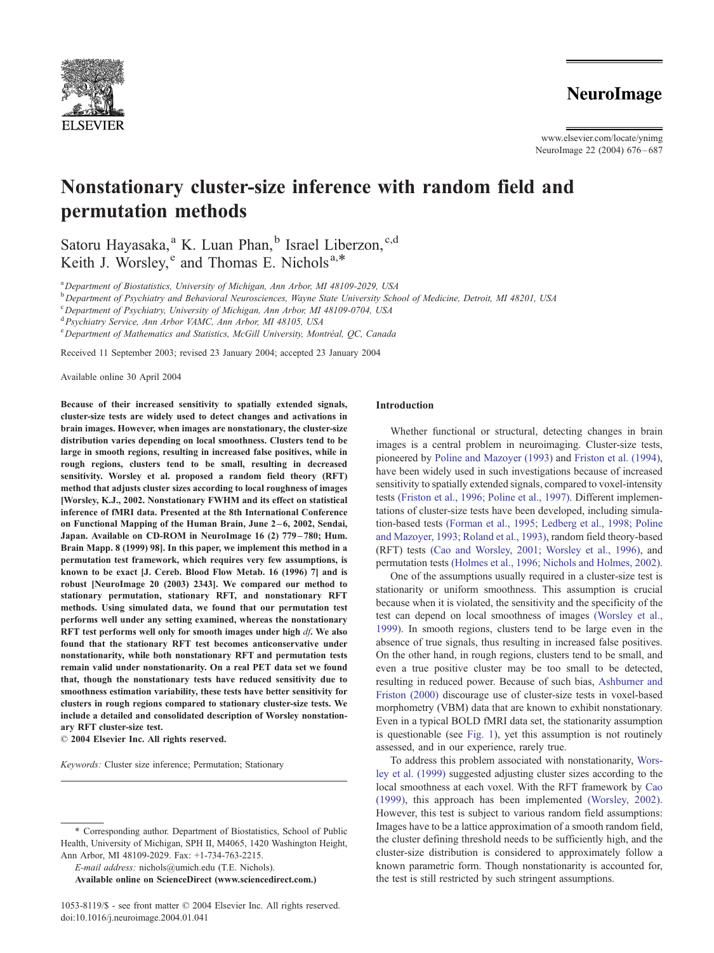

www.elsevier.com/locate/ynimg NeuroImage 22 (2004) 676-687

# Nonstationary cluster-size inference with random field and permutation methods

Satoru Hayasaka,<sup>a</sup> K. Luan Phan,<sup>b</sup> Israel Liberzon,<sup>c,d</sup> Keith J. Worsley, <sup>e</sup> and Thomas E. Nichols<sup>a,\*</sup>

<sup>a</sup> Department of Biostatistics, University of Michigan, Ann Arbor, MI 48109-2029, USA

<sup>b</sup> Department of Psychiatry and Behavioral Neurosciences, Wayne State University School of Medicine, Detroit, MI 48201, USA

<sup>c</sup> Department of Psychiatry, University of Michigan, Ann Arbor, MI 48109-0704, USA

<sup>d</sup> Psychiatry Service, Ann Arbor VAMC, Ann Arbor, MI 48105, USA

e Department of Mathematics and Statistics, McGill University, Montréal, QC, Canada

Received 11 September 2003; revised 23 January 2004; accepted 23 January 2004

Available online 30 April 2004

Because of their increased sensitivity to spatially extended signals, cluster-size tests are widely used to detect changes and activations in brain images. However, when images are nonstationary, the cluster-size distribution varies depending on local smoothness. Clusters tend to be large in smooth regions, resulting in increased false positives, while in rough regions, clusters tend to be small, resulting in decreased sensitivity. Worsley et al. proposed a random field theory (RFT) method that adjusts cluster sizes according to local roughness of images [Worsley, K.J., 2002. Nonstationary FWHM and its effect on statistical inference of fMRI data. Presented at the 8th International Conference on Functional Mapping of the Human Brain, June 2 – 6, 2002, Sendai, Japan. Available on CD-ROM in NeuroImage 16 (2) 779 – 780; Hum. Brain Mapp. 8 (1999) 98]. In this paper, we implement this method in a permutation test framework, which requires very few assumptions, is known to be exact [J. Cereb. Blood Flow Metab. 16 (1996) 7] and is robust [NeuroImage 20 (2003) 2343]. We compared our method to stationary permutation, stationary RFT, and nonstationary RFT methods. Using simulated data, we found that our permutation test performs well under any setting examined, whereas the nonstationary RFT test performs well only for smooth images under high df. We also found that the stationary RFT test becomes anticonservative under nonstationarity, while both nonstationary RFT and permutation tests remain valid under nonstationarity. On a real PET data set we found that, though the nonstationary tests have reduced sensitivity due to smoothness estimation variability, these tests have better sensitivity for clusters in rough regions compared to stationary cluster-size tests. We include a detailed and consolidated description of Worsley nonstationary RFT cluster-size test.

 $© 2004 Elsevier Inc. All rights reserved.$ 

Keywords: Cluster size inference; Permutation; Stationary

E-mail address: nichols@umich.edu (T.E. Nichols).

Available online on ScienceDirect (www.sciencedirect.com.)

### Introduction

Whether functional or structural, detecting changes in brain images is a central problem in neuroimaging. Cluster-size tests, pioneered by [Poline and Mazoyer \(1993\)](#page-11-0) and [Friston et al. \(1994\),](#page-10-0) have been widely used in such investigations because of increased sensitivity to spatially extended signals, compared to voxel-intensity tests [\(Friston et al., 1996; Poline et al., 1997\).](#page-10-0) Different implementations of cluster-size tests have been developed, including simulation-based tests [\(Forman et al., 1995; Ledberg et al., 1998; Poline](#page-10-0) and Mazoyer, 1993; Roland et al., 1993), random field theory-based (RFT) tests [\(Cao and Worsley, 2001; Worsley et al., 1996\),](#page-10-0) and permutation tests [\(Holmes et al., 1996; Nichols and Holmes, 2002\).](#page-11-0)

One of the assumptions usually required in a cluster-size test is stationarity or uniform smoothness. This assumption is crucial because when it is violated, the sensitivity and the specificity of the test can depend on local smoothness of images [\(Worsley et al.,](#page-11-0) 1999). In smooth regions, clusters tend to be large even in the absence of true signals, thus resulting in increased false positives. On the other hand, in rough regions, clusters tend to be small, and even a true positive cluster may be too small to be detected, resulting in reduced power. Because of such bias, [Ashburner and](#page-10-0) Friston (2000) discourage use of cluster-size tests in voxel-based morphometry (VBM) data that are known to exhibit nonstationary. Even in a typical BOLD fMRI data set, the stationarity assumption is questionable (see [Fig. 1\)](#page-1-0), yet this assumption is not routinely assessed, and in our experience, rarely true.

To address this problem associated with nonstationarity, [Wors](#page-11-0)ley et al. (1999) suggested adjusting cluster sizes according to the local smoothness at each voxel. With the RFT framework by [Cao](#page-10-0) (1999), this approach has been implemented [\(Worsley, 2002\).](#page-11-0) However, this test is subject to various random field assumptions: Images have to be a lattice approximation of a smooth random field, the cluster defining threshold needs to be sufficiently high, and the cluster-size distribution is considered to approximately follow a known parametric form. Though nonstationarity is accounted for, the test is still restricted by such stringent assumptions.

<sup>\*</sup> Corresponding author. Department of Biostatistics, School of Public Health, University of Michigan, SPH II, M4065, 1420 Washington Height, Ann Arbor, MI 48109-2029. Fax: +1-734-763-2215.

<sup>1053-8119/\$ -</sup> see front matter © 2004 Elsevier Inc. All rights reserved. doi:10.1016/j.neuroimage.2004.01.041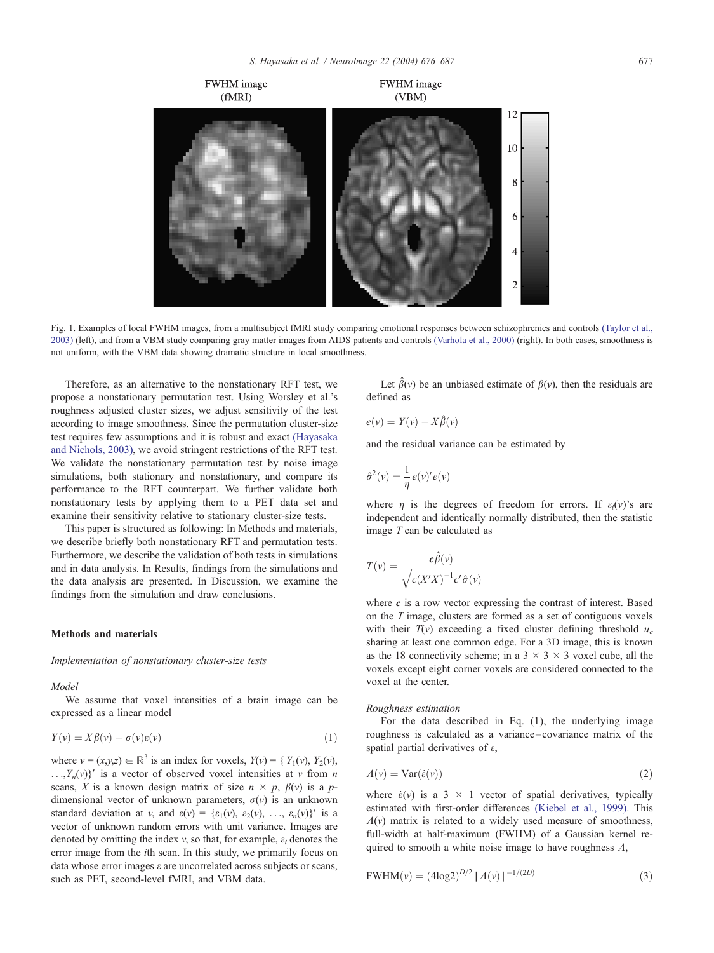<span id="page-1-0"></span>

Fig. 1. Examples of local FWHM images, from a multisubject fMRI study comparing emotional responses between schizophrenics and controls [\(Taylor et al.,](#page-11-0) 2003) (left), and from a VBM study comparing gray matter images from AIDS patients and controls [\(Varhola et al., 2000\)](#page-11-0) (right). In both cases, smoothness is not uniform, with the VBM data showing dramatic structure in local smoothness.

Therefore, as an alternative to the nonstationary RFT test, we propose a nonstationary permutation test. Using Worsley et al.'s roughness adjusted cluster sizes, we adjust sensitivity of the test according to image smoothness. Since the permutation cluster-size test requires few assumptions and it is robust and exact [\(Hayasaka](#page-10-0) and Nichols, 2003), we avoid stringent restrictions of the RFT test. We validate the nonstationary permutation test by noise image simulations, both stationary and nonstationary, and compare its performance to the RFT counterpart. We further validate both nonstationary tests by applying them to a PET data set and examine their sensitivity relative to stationary cluster-size tests.

This paper is structured as following: In Methods and materials, we describe briefly both nonstationary RFT and permutation tests. Furthermore, we describe the validation of both tests in simulations and in data analysis. In Results, findings from the simulations and the data analysis are presented. In Discussion, we examine the findings from the simulation and draw conclusions.

# Methods and materials

# Implementation of nonstationary cluster-size tests

Model

We assume that voxel intensities of a brain image can be expressed as a linear model

$$
Y(v) = X\beta(v) + \sigma(v)\varepsilon(v)
$$
\n<sup>(1)</sup>

where  $v = (x,y,z) \in \mathbb{R}^3$  is an index for voxels,  $Y(v) = \{ Y_1(v), Y_2(v),$  $\ldots$ ,  $Y_n(v)$ <sup>V</sup> is a vector of observed voxel intensities at v from *n* scans, X is a known design matrix of size  $n \times p$ ,  $\beta(v)$  is a pdimensional vector of unknown parameters,  $\sigma(v)$  is an unknown standard deviation at v, and  $\varepsilon(v) = {\varepsilon_1(v), \varepsilon_2(v), \dots, \varepsilon_n(v)}'$  is a vector of unknown random errors with unit variance. Images are denoted by omitting the index v, so that, for example,  $\varepsilon_i$  denotes the error image from the ith scan. In this study, we primarily focus on data whose error images  $\varepsilon$  are uncorrelated across subjects or scans, such as PET, second-level fMRI, and VBM data.

Let  $\hat{\beta}(v)$  be an unbiased estimate of  $\beta(v)$ , then the residuals are defined as

$$
e(v) = Y(v) - X\hat{\beta}(v)
$$

and the residual variance can be estimated by

$$
\hat{\sigma}^2(\nu) = \frac{1}{\eta} e(\nu)' e(\nu)
$$

where  $\eta$  is the degrees of freedom for errors. If  $\varepsilon_i(\nu)$ 's are independent and identically normally distributed, then the statistic image T can be calculated as

$$
T(v) = \frac{c\hat{\beta}(v)}{\sqrt{c(X'X)^{-1}c'\hat{\sigma}(v)}}
$$

where  $c$  is a row vector expressing the contrast of interest. Based on the T image, clusters are formed as a set of contiguous voxels with their  $T(v)$  exceeding a fixed cluster defining threshold  $u_c$ sharing at least one common edge. For a 3D image, this is known as the 18 connectivity scheme; in a  $3 \times 3 \times 3$  voxel cube, all the voxels except eight corner voxels are considered connected to the voxel at the center.

# Roughness estimation

For the data described in Eq. (1), the underlying image roughness is calculated as a variance – covariance matrix of the spatial partial derivatives of e,

$$
A(v) = \text{Var}(\dot{\varepsilon}(v))\tag{2}
$$

where  $\dot{\varepsilon}(v)$  is a 3  $\times$  1 vector of spatial derivatives, typically estimated with first-order differences [\(Kiebel et al., 1999\).](#page-11-0) This  $\Lambda(v)$  matrix is related to a widely used measure of smoothness, full-width at half-maximum (FWHM) of a Gaussian kernel required to smooth a white noise image to have roughness  $\Lambda$ ,

$$
FWHM(v) = (4\log 2)^{D/2} |A(v)|^{-1/(2D)}
$$
\n(3)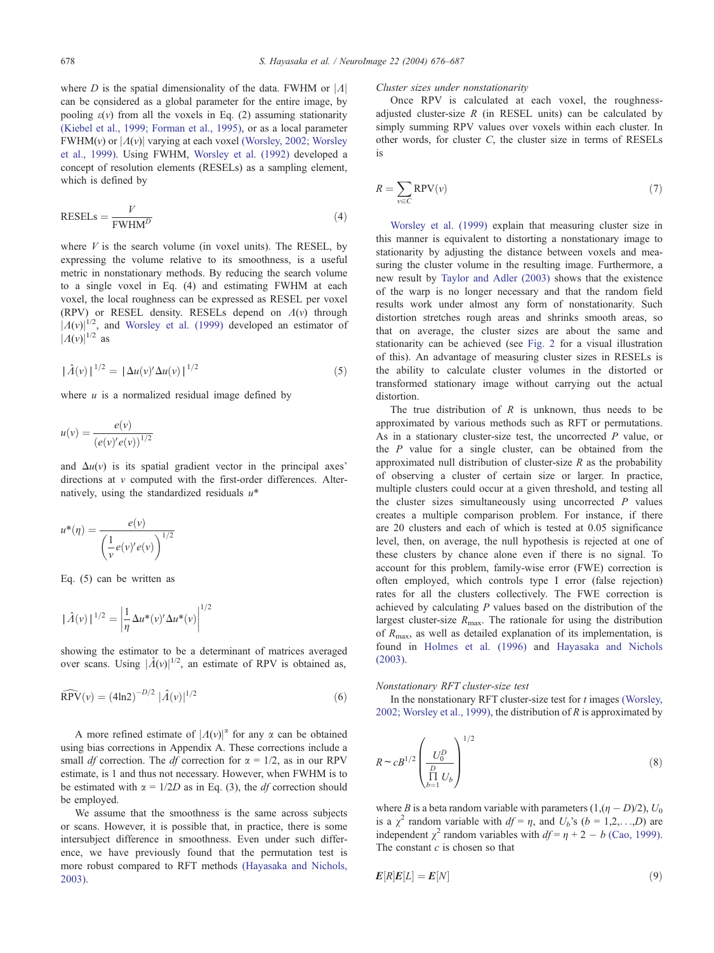where D is the spatial dimensionality of the data. FWHM or  $|A|$ can be considered as a global parameter for the entire image, by pooling  $\varepsilon(v)$  from all the voxels in Eq. (2) assuming stationarity [\(Kiebel et al., 1999; Forman et al., 1995\),](#page-11-0) or as a local parameter FWHM(v) or  $|A(v)|$  varying at each voxel [\(Worsley, 2002; Worsley](#page-11-0) et al., 1999). Using FWHM, [Worsley et al. \(1992\)](#page-11-0) developed a concept of resolution elements (RESELs) as a sampling element, which is defined by

$$
RESELS = \frac{V}{FWHM^D}
$$
(4)

where  $V$  is the search volume (in voxel units). The RESEL, by expressing the volume relative to its smoothness, is a useful metric in nonstationary methods. By reducing the search volume to a single voxel in Eq. (4) and estimating FWHM at each voxel, the local roughness can be expressed as RESEL per voxel (RPV) or RESEL density. RESELs depend on  $\Lambda(v)$  through  $|A(v)|^{1/2}$ , and [Worsley et al. \(1999\)](#page-11-0) developed an estimator of  $|A(v)|^{1/2}$  as

$$
|\hat{\Lambda}(v)|^{1/2} = |\Delta u(v)' \Delta u(v)|^{1/2}
$$
 (5)

where  $u$  is a normalized residual image defined by

$$
u(v) = \frac{e(v)}{(e(v)'e(v))^{1/2}}
$$

and  $\Delta u(v)$  is its spatial gradient vector in the principal axes' directions at  $v$  computed with the first-order differences. Alternatively, using the standardized residuals  $u^*$ 

$$
u^*(\eta) = \frac{e(v)}{\left(\frac{1}{v}e(v)'e(v)\right)^{1/2}}
$$

Eq. (5) can be written as

$$
|\hat{\Lambda}(v)|^{1/2} = \left| \frac{1}{\eta} \Delta u^*(v)' \Delta u^*(v) \right|^{1/2}
$$

showing the estimator to be a determinant of matrices averaged over scans. Using  $|\hat{A}(v)|^{1/2}$ , an estimate of RPV is obtained as,

$$
\widehat{\text{RPV}}(v) = (4\text{ln}2)^{-D/2} |\hat{\Lambda}(v)|^{1/2} \tag{6}
$$

A more refined estimate of  $|A(v)|^{\alpha}$  for any  $\alpha$  can be obtained using bias corrections in Appendix A. These corrections include a small *df* correction. The *df* correction for  $\alpha = 1/2$ , as in our RPV estimate, is 1 and thus not necessary. However, when FWHM is to be estimated with  $\alpha = 1/2D$  as in Eq. (3), the *df* correction should be employed.

We assume that the smoothness is the same across subjects or scans. However, it is possible that, in practice, there is some intersubject difference in smoothness. Even under such difference, we have previously found that the permutation test is more robust compared to RFT methods [\(Hayasaka and Nichols,](#page-10-0) 2003).

#### Cluster sizes under nonstationarity

Once RPV is calculated at each voxel, the roughnessadjusted cluster-size  $R$  (in RESEL units) can be calculated by simply summing RPV values over voxels within each cluster. In other words, for cluster C, the cluster size in terms of RESELs is

$$
R = \sum_{v \in C} \text{RPV}(v) \tag{7}
$$

[Worsley et al. \(1999\)](#page-11-0) explain that measuring cluster size in this manner is equivalent to distorting a nonstationary image to stationarity by adjusting the distance between voxels and measuring the cluster volume in the resulting image. Furthermore, a new result by [Taylor and Adler \(2003\)](#page-11-0) shows that the existence of the warp is no longer necessary and that the random field results work under almost any form of nonstationarity. Such distortion stretches rough areas and shrinks smooth areas, so that on average, the cluster sizes are about the same and stationarity can be achieved (see [Fig. 2](#page-3-0) for a visual illustration of this). An advantage of measuring cluster sizes in RESELs is the ability to calculate cluster volumes in the distorted or transformed stationary image without carrying out the actual distortion.

The true distribution of  $R$  is unknown, thus needs to be approximated by various methods such as RFT or permutations. As in a stationary cluster-size test, the uncorrected  $P$  value, or the  $P$  value for a single cluster, can be obtained from the approximated null distribution of cluster-size  $R$  as the probability of observing a cluster of certain size or larger. In practice, multiple clusters could occur at a given threshold, and testing all the cluster sizes simultaneously using uncorrected  *values* creates a multiple comparison problem. For instance, if there are 20 clusters and each of which is tested at 0.05 significance level, then, on average, the null hypothesis is rejected at one of these clusters by chance alone even if there is no signal. To account for this problem, family-wise error (FWE) correction is often employed, which controls type I error (false rejection) rates for all the clusters collectively. The FWE correction is achieved by calculating  $P$  values based on the distribution of the largest cluster-size  $R_{\text{max}}$ . The rationale for using the distribution of Rmax, as well as detailed explanation of its implementation, is found in [Holmes et al. \(1996\)](#page-11-0) and [Hayasaka and Nichols](#page-10-0) (2003).

## Nonstationary RFT cluster-size test

In the nonstationary RFT cluster-size test for  $t$  images [\(Worsley,](#page-11-0) 2002; Worsley et al., 1999), the distribution of  $R$  is approximated by

$$
R \sim cB^{1/2} \left(\frac{U_0^D}{\prod\limits_{b=1}^{\Pi} U_b}\right)^{1/2} \tag{8}
$$

where B is a beta random variable with parameters  $(1, (n - D)/2)$ ,  $U_0$ is a  $\chi^2$  random variable with  $df = \eta$ , and  $U_b$ 's ( $b = 1,2,...,D$ ) are independent  $\gamma^2$  random variables with  $df = \eta + 2 - b$  [\(Cao, 1999\).](#page-10-0) The constant  $c$  is chosen so that

$$
E[R]E[L] = E[N] \tag{9}
$$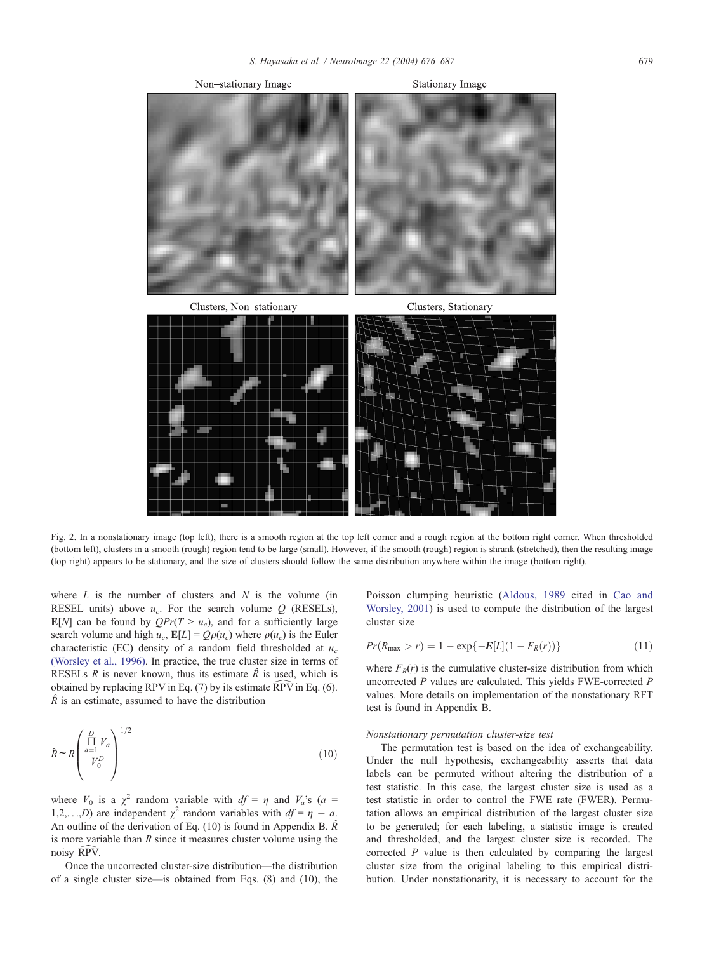<span id="page-3-0"></span>

Fig. 2. In a nonstationary image (top left), there is a smooth region at the top left corner and a rough region at the bottom right corner. When thresholded (bottom left), clusters in a smooth (rough) region tend to be large (small). However, if the smooth (rough) region is shrank (stretched), then the resulting image (top right) appears to be stationary, and the size of clusters should follow the same distribution anywhere within the image (bottom right).

where  $L$  is the number of clusters and  $N$  is the volume (in RESEL units) above  $u_c$ . For the search volume Q (RESELs),  $\mathbb{E}[N]$  can be found by  $QPr(T > u_c)$ , and for a sufficiently large search volume and high  $u_c$ ,  $\mathbb{E}[L] = Q\rho(u_c)$  where  $\rho(u_c)$  is the Euler characteristic (EC) density of a random field thresholded at  $u_c$ [\(Worsley et al., 1996\).](#page-11-0) In practice, the true cluster size in terms of RESELs R is never known, thus its estimate  $\hat{R}$  is used, which is obtained by replacing RPV in Eq. (7) by its estimate  $\widehat{RPV}$  in Eq. (6).  $\hat{R}$  is an estimate, assumed to have the distribution

$$
\hat{R} \sim R \left( \frac{\prod_{a=1}^{D} V_a}{V_0^D} \right)^{1/2} \tag{10}
$$

where  $V_0$  is a  $\chi^2$  random variable with  $df = \eta$  and  $V_a$ 's (a = 1,2,...,D) are independent  $\chi^2$  random variables with  $df = \eta - a$ . An outline of the derivation of Eq. (10) is found in Appendix B.  $\hat{R}$ is more variable than  $R$  since it measures cluster volume using the noisy RPV.

Once the uncorrected cluster-size distribution—the distribution of a single cluster size—is obtained from Eqs. (8) and (10), the

Poisson clumping heuristic ([Aldous, 1989](#page-10-0) cited in [Cao and](#page-10-0) Worsley, 2001) is used to compute the distribution of the largest cluster size

$$
Pr(R_{\max} > r) = 1 - \exp\{-E[L](1 - F_R(r))\}
$$
\n(11)

where  $F_R(r)$  is the cumulative cluster-size distribution from which uncorrected P values are calculated. This yields FWE-corrected P values. More details on implementation of the nonstationary RFT test is found in Appendix B.

## Nonstationary permutation cluster-size test

The permutation test is based on the idea of exchangeability. Under the null hypothesis, exchangeability asserts that data labels can be permuted without altering the distribution of a test statistic. In this case, the largest cluster size is used as a test statistic in order to control the FWE rate (FWER). Permutation allows an empirical distribution of the largest cluster size to be generated; for each labeling, a statistic image is created and thresholded, and the largest cluster size is recorded. The corrected  $P$  value is then calculated by comparing the largest cluster size from the original labeling to this empirical distribution. Under nonstationarity, it is necessary to account for the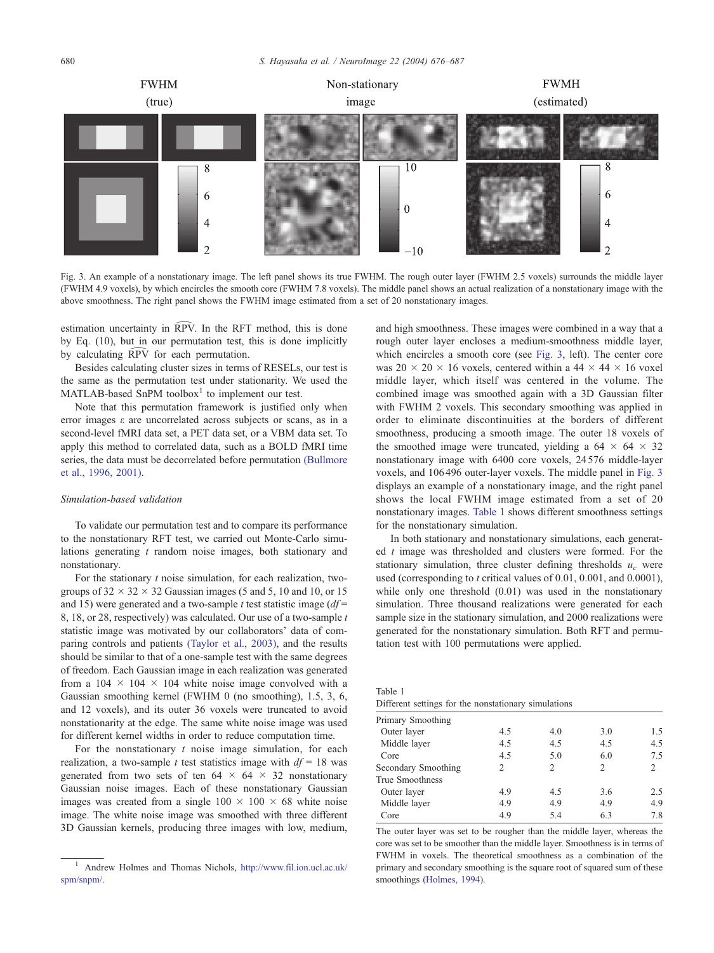

Fig. 3. An example of a nonstationary image. The left panel shows its true FWHM. The rough outer layer (FWHM 2.5 voxels) surrounds the middle layer (FWHM 4.9 voxels), by which encircles the smooth core (FWHM 7.8 voxels). The middle panel shows an actual realization of a nonstationary image with the above smoothness. The right panel shows the FWHM image estimated from a set of 20 nonstationary images.

estimation uncertainty in  $\overline{RPV}$ . In the RFT method, this is done by Eq. (10), but in our permutation test, this is done implicitly by calculating  $\widehat{RPV}$  for each permutation.

Besides calculating cluster sizes in terms of RESELs, our test is the same as the permutation test under stationarity. We used the  $MATLAB-based$  SnPM toolbox<sup>1</sup> to implement our test.

Note that this permutation framework is justified only when error images e are uncorrelated across subjects or scans, as in a second-level fMRI data set, a PET data set, or a VBM data set. To apply this method to correlated data, such as a BOLD fMRI time series, the data must be decorrelated before permutation [\(Bullmore](#page-10-0) et al., 1996, 2001).

# Simulation-based validation

To validate our permutation test and to compare its performance to the nonstationary RFT test, we carried out Monte-Carlo simulations generating  $t$  random noise images, both stationary and nonstationary.

For the stationary  $t$  noise simulation, for each realization, twogroups of  $32 \times 32 \times 32$  Gaussian images (5 and 5, 10 and 10, or 15 and 15) were generated and a two-sample t test statistic image  $(df =$ 8, 18, or 28, respectively) was calculated. Our use of a two-sample t statistic image was motivated by our collaborators' data of comparing controls and patients [\(Taylor et al., 2003\),](#page-11-0) and the results should be similar to that of a one-sample test with the same degrees of freedom. Each Gaussian image in each realization was generated from a  $104 \times 104 \times 104$  white noise image convolved with a Gaussian smoothing kernel (FWHM 0 (no smoothing), 1.5, 3, 6, and 12 voxels), and its outer 36 voxels were truncated to avoid nonstationarity at the edge. The same white noise image was used for different kernel widths in order to reduce computation time.

For the nonstationary  $t$  noise image simulation, for each realization, a two-sample t test statistics image with  $df = 18$  was generated from two sets of ten  $64 \times 64 \times 32$  nonstationary Gaussian noise images. Each of these nonstationary Gaussian images was created from a single  $100 \times 100 \times 68$  white noise image. The white noise image was smoothed with three different 3D Gaussian kernels, producing three images with low, medium, and high smoothness. These images were combined in a way that a rough outer layer encloses a medium-smoothness middle layer, which encircles a smooth core (see Fig. 3, left). The center core was 20  $\times$  20  $\times$  16 voxels, centered within a 44  $\times$  44  $\times$  16 voxel middle layer, which itself was centered in the volume. The combined image was smoothed again with a 3D Gaussian filter with FWHM 2 voxels. This secondary smoothing was applied in order to eliminate discontinuities at the borders of different smoothness, producing a smooth image. The outer 18 voxels of the smoothed image were truncated, yielding a  $64 \times 64 \times 32$ nonstationary image with 6400 core voxels, 24 576 middle-layer voxels, and 106 496 outer-layer voxels. The middle panel in Fig. 3 displays an example of a nonstationary image, and the right panel shows the local FWHM image estimated from a set of 20 nonstationary images. Table 1 shows different smoothness settings for the nonstationary simulation.

In both stationary and nonstationary simulations, each generated  $t$  image was thresholded and clusters were formed. For the stationary simulation, three cluster defining thresholds  $u_c$  were used (corresponding to t critical values of 0.01, 0.001, and 0.0001). while only one threshold  $(0.01)$  was used in the nonstationary simulation. Three thousand realizations were generated for each sample size in the stationary simulation, and 2000 realizations were generated for the nonstationary simulation. Both RFT and permutation test with 100 permutations were applied.

| -------- |  |                                                      |  |
|----------|--|------------------------------------------------------|--|
|          |  | Different settings for the nonstationary simulations |  |

Table 1

| Primary Smoothing   |     |     |     |     |
|---------------------|-----|-----|-----|-----|
| Outer layer         | 4.5 | 4.0 | 3.0 | 1.5 |
| Middle layer        | 4.5 | 4.5 | 4.5 | 4.5 |
| Core                | 4.5 | 5.0 | 6.0 | 7.5 |
| Secondary Smoothing | 2   | 2   | 2   | 2   |
| True Smoothness     |     |     |     |     |
| Outer layer         | 4.9 | 4.5 | 3.6 | 2.5 |
| Middle layer        | 4.9 | 4.9 | 4.9 | 4.9 |
| Core                | 4.9 | 5.4 | 6.3 | 7.8 |
|                     |     |     |     |     |

The outer layer was set to be rougher than the middle layer, whereas the core was set to be smoother than the middle layer. Smoothness is in terms of FWHM in voxels. The theoretical smoothness as a combination of the primary and secondary smoothing is the square root of squared sum of these smoothings [\(Holmes, 1994\).](#page-10-0)

<sup>&</sup>lt;sup>1</sup> Andrew Holmes and Thomas Nichols, http://www.fil.jon.ucl.ac.uk/ spm/snpm/.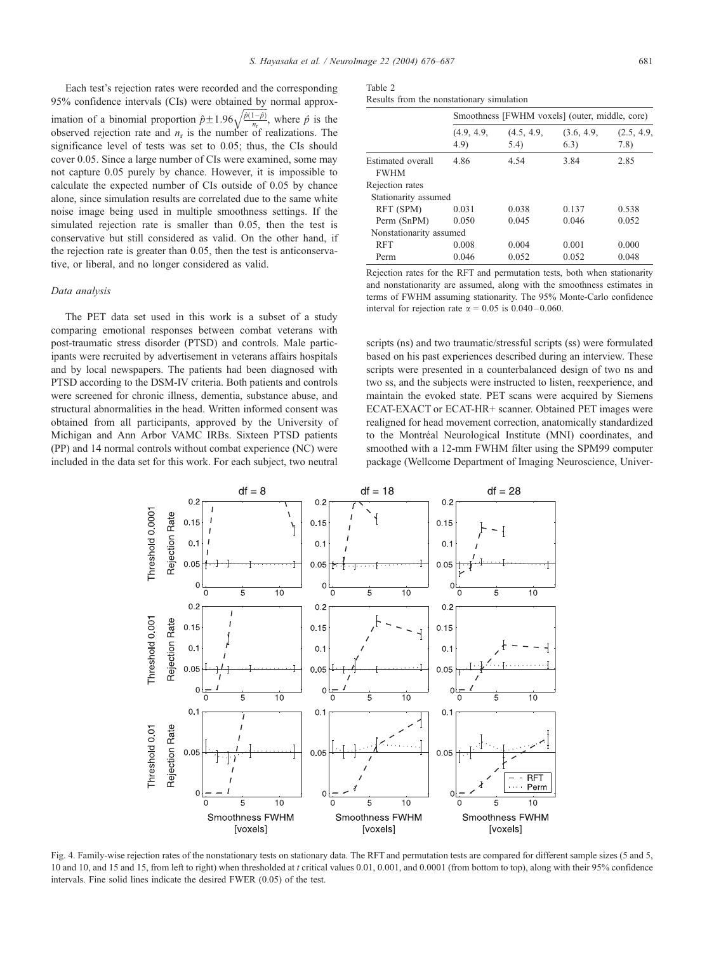<span id="page-5-0"></span>Each test's rejection rates were recorded and the corresponding 95% confidence intervals (CIs) were obtained by normal approximation of a binomial proportion  $\hat{p} \pm 1.96 \sqrt{\frac{\hat{p}(1-\hat{p})}{n_r}}$  $\frac{1}{\sqrt{2}}$ , where  $\hat{p}$  is the observed rejection rate and  $n_r$  is the number of realizations. The significance level of tests was set to 0.05; thus, the CIs should cover 0.05. Since a large number of CIs were examined, some may not capture 0.05 purely by chance. However, it is impossible to calculate the expected number of CIs outside of 0.05 by chance alone, since simulation results are correlated due to the same white noise image being used in multiple smoothness settings. If the simulated rejection rate is smaller than 0.05, then the test is conservative but still considered as valid. On the other hand, if the rejection rate is greater than 0.05, then the test is anticonservative, or liberal, and no longer considered as valid.

## Data analysis

The PET data set used in this work is a subset of a study comparing emotional responses between combat veterans with post-traumatic stress disorder (PTSD) and controls. Male participants were recruited by advertisement in veterans affairs hospitals and by local newspapers. The patients had been diagnosed with PTSD according to the DSM-IV criteria. Both patients and controls were screened for chronic illness, dementia, substance abuse, and structural abnormalities in the head. Written informed consent was obtained from all participants, approved by the University of Michigan and Ann Arbor VAMC IRBs. Sixteen PTSD patients (PP) and 14 normal controls without combat experience (NC) were included in the data set for this work. For each subject, two neutral

| Table 2 |  |                                           |  |
|---------|--|-------------------------------------------|--|
|         |  | Results from the nonstationary simulation |  |

|                                  |                    | Smoothness [FWHM voxels] (outer, middle, core) |                    |                    |  |  |  |
|----------------------------------|--------------------|------------------------------------------------|--------------------|--------------------|--|--|--|
|                                  | (4.9, 4.9,<br>4.9) | (4.5, 4.9,<br>5.4)                             | (3.6, 4.9,<br>6.3) | (2.5, 4.9,<br>7.8) |  |  |  |
| Estimated overall<br><b>FWHM</b> | 4.86               | 4.54                                           | 3.84               | 2.85               |  |  |  |
| Rejection rates                  |                    |                                                |                    |                    |  |  |  |
| Stationarity assumed             |                    |                                                |                    |                    |  |  |  |
| RFT (SPM)                        | 0.031              | 0.038                                          | 0.137              | 0.538              |  |  |  |
| Perm (SnPM)                      | 0.050              | 0.045                                          | 0.046              | 0.052              |  |  |  |
| Nonstationarity assumed          |                    |                                                |                    |                    |  |  |  |
| <b>RFT</b>                       | 0.008              | 0.004                                          | 0.001              | 0.000              |  |  |  |
| Perm                             | 0.046              | 0.052                                          | 0.052              | 0.048              |  |  |  |

Rejection rates for the RFT and permutation tests, both when stationarity and nonstationarity are assumed, along with the smoothness estimates in terms of FWHM assuming stationarity. The 95% Monte-Carlo confidence interval for rejection rate  $\alpha = 0.05$  is 0.040 – 0.060.

scripts (ns) and two traumatic/stressful scripts (ss) were formulated based on his past experiences described during an interview. These scripts were presented in a counterbalanced design of two ns and two ss, and the subjects were instructed to listen, reexperience, and maintain the evoked state. PET scans were acquired by Siemens ECAT-EXACT or ECAT-HR+ scanner. Obtained PET images were realigned for head movement correction, anatomically standardized to the Montréal Neurological Institute (MNI) coordinates, and smoothed with a 12-mm FWHM filter using the SPM99 computer package (Wellcome Department of Imaging Neuroscience, Univer-



Fig. 4. Family-wise rejection rates of the nonstationary tests on stationary data. The RFT and permutation tests are compared for different sample sizes (5 and 5, 10 and 10, and 15 and 15, from left to right) when thresholded at t critical values 0.01, 0.001, and 0.0001 (from bottom to top), along with their 95% confidence intervals. Fine solid lines indicate the desired FWER (0.05) of the test.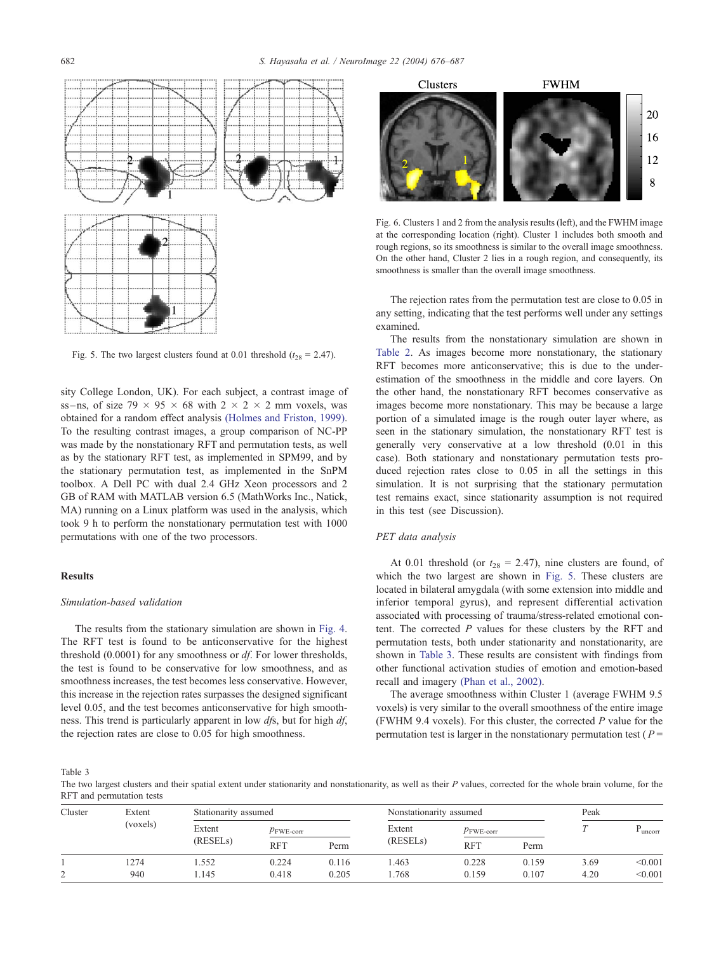<span id="page-6-0"></span>

Fig. 5. The two largest clusters found at 0.01 threshold ( $t_{28} = 2.47$ ).

sity College London, UK). For each subject, a contrast image of ss-ns, of size 79  $\times$  95  $\times$  68 with 2  $\times$  2  $\times$  2 mm voxels, was obtained for a random effect analysis [\(Holmes and Friston, 1999\).](#page-10-0) To the resulting contrast images, a group comparison of NC-PP was made by the nonstationary RFT and permutation tests, as well as by the stationary RFT test, as implemented in SPM99, and by the stationary permutation test, as implemented in the SnPM toolbox. A Dell PC with dual 2.4 GHz Xeon processors and 2 GB of RAM with MATLAB version 6.5 (MathWorks Inc., Natick, MA) running on a Linux platform was used in the analysis, which took 9 h to perform the nonstationary permutation test with 1000 permutations with one of the two processors.

# Results

## Simulation-based validation

The results from the stationary simulation are shown in [Fig. 4.](#page-5-0) The RFT test is found to be anticonservative for the highest threshold (0.0001) for any smoothness or df. For lower thresholds, the test is found to be conservative for low smoothness, and as smoothness increases, the test becomes less conservative. However, this increase in the rejection rates surpasses the designed significant level 0.05, and the test becomes anticonservative for high smoothness. This trend is particularly apparent in low dfs, but for high df, the rejection rates are close to 0.05 for high smoothness.



Fig. 6. Clusters 1 and 2 from the analysis results (left), and the FWHM image at the corresponding location (right). Cluster 1 includes both smooth and rough regions, so its smoothness is similar to the overall image smoothness. On the other hand, Cluster 2 lies in a rough region, and consequently, its smoothness is smaller than the overall image smoothness.

The rejection rates from the permutation test are close to 0.05 in any setting, indicating that the test performs well under any settings examined.

The results from the nonstationary simulation are shown in [Table 2.](#page-5-0) As images become more nonstationary, the stationary RFT becomes more anticonservative; this is due to the underestimation of the smoothness in the middle and core layers. On the other hand, the nonstationary RFT becomes conservative as images become more nonstationary. This may be because a large portion of a simulated image is the rough outer layer where, as seen in the stationary simulation, the nonstationary RFT test is generally very conservative at a low threshold (0.01 in this case). Both stationary and nonstationary permutation tests produced rejection rates close to 0.05 in all the settings in this simulation. It is not surprising that the stationary permutation test remains exact, since stationarity assumption is not required in this test (see Discussion).

# PET data analysis

At 0.01 threshold (or  $t_{28} = 2.47$ ), nine clusters are found, of which the two largest are shown in Fig. 5. These clusters are located in bilateral amygdala (with some extension into middle and inferior temporal gyrus), and represent differential activation associated with processing of trauma/stress-related emotional content. The corrected  $P$  values for these clusters by the RFT and permutation tests, both under stationarity and nonstationarity, are shown in Table 3. These results are consistent with findings from other functional activation studies of emotion and emotion-based recall and imagery [\(Phan et al., 2002\).](#page-11-0)

The average smoothness within Cluster 1 (average FWHM 9.5 voxels) is very similar to the overall smoothness of the entire image (FWHM 9.4 voxels). For this cluster, the corrected  $P$  value for the permutation test is larger in the nonstationary permutation test ( $P =$ 

Table 3

The two largest clusters and their spatial extent under stationarity and nonstationarity, as well as their  $P$  values, corrected for the whole brain volume, for the RFT and permutation tests

| --- -----<br>Cluster | Extent   |                                 | Stationarity assumed  |       |                       | Nonstationarity assumed |       |      | Peak    |  |
|----------------------|----------|---------------------------------|-----------------------|-------|-----------------------|-------------------------|-------|------|---------|--|
|                      | (voxels) | Extent<br>(RESEL <sub>s</sub> ) | $p_{\text{FWE-corr}}$ |       |                       | $p_{\text{FWE-corr}}$   |       |      | uncorr  |  |
|                      |          |                                 | <b>RFT</b>            | Perm  | (RESEL <sub>s</sub> ) | <b>RFT</b>              | Perm  |      |         |  |
|                      | 1274     | . 552                           | 0.224                 | 0.116 | .463                  | 0.228                   | 0.159 | 3.69 | < 0.001 |  |
| ∼                    | 940      | 1.145                           | 0.418                 | 0.205 | .768                  | 0.159                   | 0.107 | 4.20 | < 0.001 |  |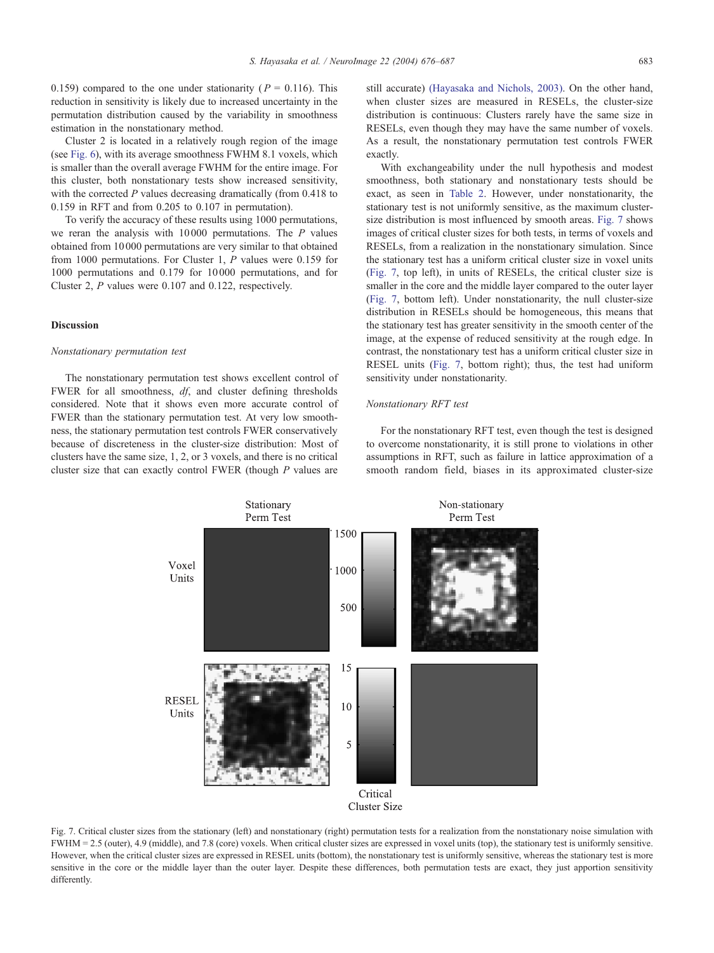0.159) compared to the one under stationarity ( $P = 0.116$ ). This reduction in sensitivity is likely due to increased uncertainty in the permutation distribution caused by the variability in smoothness estimation in the nonstationary method.

Cluster 2 is located in a relatively rough region of the image (see [Fig. 6\)](#page-6-0), with its average smoothness FWHM 8.1 voxels, which is smaller than the overall average FWHM for the entire image. For this cluster, both nonstationary tests show increased sensitivity, with the corrected  $P$  values decreasing dramatically (from 0.418 to 0.159 in RFT and from 0.205 to 0.107 in permutation).

To verify the accuracy of these results using 1000 permutations, we reran the analysis with 10 000 permutations. The P values obtained from 10 000 permutations are very similar to that obtained from 1000 permutations. For Cluster 1, P values were 0.159 for 1000 permutations and 0.179 for 10 000 permutations, and for Cluster 2, P values were 0.107 and 0.122, respectively.

# Discussion

## Nonstationary permutation test

The nonstationary permutation test shows excellent control of FWER for all smoothness,  $df$ , and cluster defining thresholds considered. Note that it shows even more accurate control of FWER than the stationary permutation test. At very low smoothness, the stationary permutation test controls FWER conservatively because of discreteness in the cluster-size distribution: Most of clusters have the same size, 1, 2, or 3 voxels, and there is no critical cluster size that can exactly control FWER (though P values are

still accurate) [\(Hayasaka and Nichols, 2003\).](#page-10-0) On the other hand, when cluster sizes are measured in RESELs, the cluster-size distribution is continuous: Clusters rarely have the same size in RESELs, even though they may have the same number of voxels. As a result, the nonstationary permutation test controls FWER exactly.

With exchangeability under the null hypothesis and modest smoothness, both stationary and nonstationary tests should be exact, as seen in [Table 2.](#page-5-0) However, under nonstationarity, the stationary test is not uniformly sensitive, as the maximum clustersize distribution is most influenced by smooth areas. Fig. 7 shows images of critical cluster sizes for both tests, in terms of voxels and RESELs, from a realization in the nonstationary simulation. Since the stationary test has a uniform critical cluster size in voxel units (Fig. 7, top left), in units of RESELs, the critical cluster size is smaller in the core and the middle layer compared to the outer layer (Fig. 7, bottom left). Under nonstationarity, the null cluster-size distribution in RESELs should be homogeneous, this means that the stationary test has greater sensitivity in the smooth center of the image, at the expense of reduced sensitivity at the rough edge. In contrast, the nonstationary test has a uniform critical cluster size in RESEL units (Fig. 7, bottom right); thus, the test had uniform sensitivity under nonstationarity.

# Nonstationary RFT test

For the nonstationary RFT test, even though the test is designed to overcome nonstationarity, it is still prone to violations in other assumptions in RFT, such as failure in lattice approximation of a smooth random field, biases in its approximated cluster-size



Fig. 7. Critical cluster sizes from the stationary (left) and nonstationary (right) permutation tests for a realization from the nonstationary noise simulation with FWHM = 2.5 (outer), 4.9 (middle), and 7.8 (core) voxels. When critical cluster sizes are expressed in voxel units (top), the stationary test is uniformly sensitive. However, when the critical cluster sizes are expressed in RESEL units (bottom), the nonstationary test is uniformly sensitive, whereas the stationary test is more sensitive in the core or the middle layer than the outer layer. Despite these differences, both permutation tests are exact, they just apportion sensitivity differently.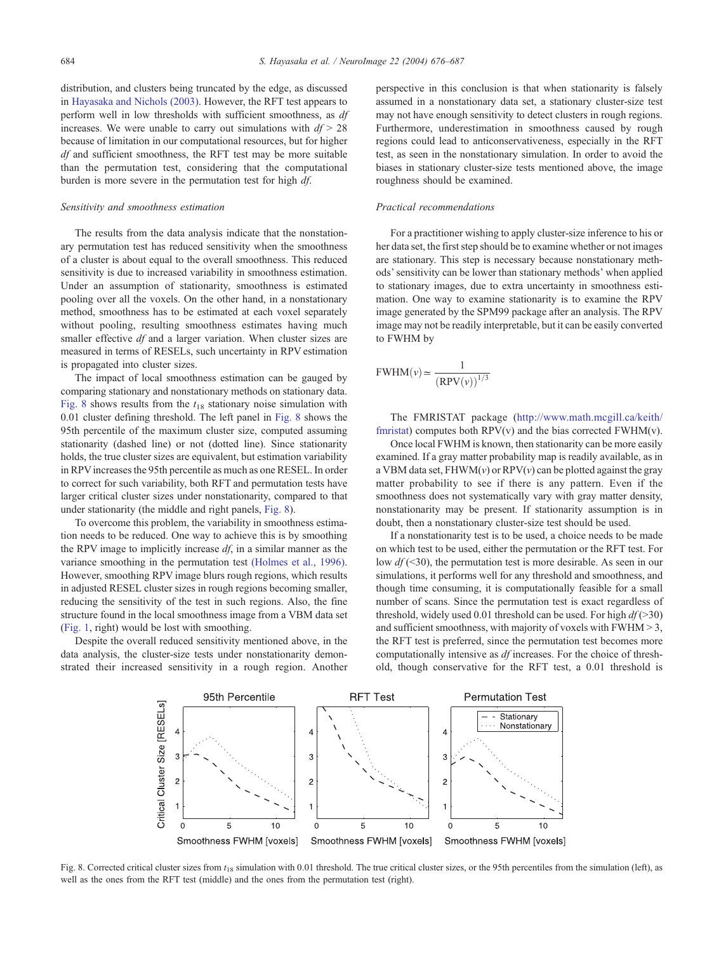distribution, and clusters being truncated by the edge, as discussed in [Hayasaka and Nichols \(2003\).](#page-10-0) However, the RFT test appears to perform well in low thresholds with sufficient smoothness, as df increases. We were unable to carry out simulations with  $df > 28$ because of limitation in our computational resources, but for higher df and sufficient smoothness, the RFT test may be more suitable than the permutation test, considering that the computational burden is more severe in the permutation test for high df.

## Sensitivity and smoothness estimation

The results from the data analysis indicate that the nonstationary permutation test has reduced sensitivity when the smoothness of a cluster is about equal to the overall smoothness. This reduced sensitivity is due to increased variability in smoothness estimation. Under an assumption of stationarity, smoothness is estimated pooling over all the voxels. On the other hand, in a nonstationary method, smoothness has to be estimated at each voxel separately without pooling, resulting smoothness estimates having much smaller effective  $df$  and a larger variation. When cluster sizes are measured in terms of RESELs, such uncertainty in RPV estimation is propagated into cluster sizes.

The impact of local smoothness estimation can be gauged by comparing stationary and nonstationary methods on stationary data. Fig. 8 shows results from the  $t_{18}$  stationary noise simulation with 0.01 cluster defining threshold. The left panel in Fig. 8 shows the 95th percentile of the maximum cluster size, computed assuming stationarity (dashed line) or not (dotted line). Since stationarity holds, the true cluster sizes are equivalent, but estimation variability in RPVincreases the 95th percentile as much as one RESEL. In order to correct for such variability, both RFT and permutation tests have larger critical cluster sizes under nonstationarity, compared to that under stationarity (the middle and right panels, Fig. 8).

To overcome this problem, the variability in smoothness estimation needs to be reduced. One way to achieve this is by smoothing the RPV image to implicitly increase  $df$ , in a similar manner as the variance smoothing in the permutation test [\(Holmes et al., 1996\).](#page-11-0) However, smoothing RPV image blurs rough regions, which results in adjusted RESEL cluster sizes in rough regions becoming smaller, reducing the sensitivity of the test in such regions. Also, the fine structure found in the local smoothness image from a VBM data set ([Fig. 1,](#page-1-0) right) would be lost with smoothing.

Despite the overall reduced sensitivity mentioned above, in the data analysis, the cluster-size tests under nonstationarity demonstrated their increased sensitivity in a rough region. Another perspective in this conclusion is that when stationarity is falsely assumed in a nonstationary data set, a stationary cluster-size test may not have enough sensitivity to detect clusters in rough regions. Furthermore, underestimation in smoothness caused by rough regions could lead to anticonservativeness, especially in the RFT test, as seen in the nonstationary simulation. In order to avoid the biases in stationary cluster-size tests mentioned above, the image roughness should be examined.

## Practical recommendations

For a practitioner wishing to apply cluster-size inference to his or her data set, the first step should be to examine whether or not images are stationary. This step is necessary because nonstationary methods' sensitivity can be lower than stationary methods' when applied to stationary images, due to extra uncertainty in smoothness estimation. One way to examine stationarity is to examine the RPV image generated by the SPM99 package after an analysis. The RPV image may not be readily interpretable, but it can be easily converted to FWHM by

$$
\text{FWHM}(v) \simeq \frac{1}{(\text{RPV}(v))^{1/3}}
$$

The FMRISTAT package (http://www.math.mcgill.ca/keith/ fmristat) computes both  $RPV(v)$  and the bias corrected  $FWHM(v)$ .

Once local FWHM is known, then stationarity can be more easily examined. If a gray matter probability map is readily available, as in a VBM data set,  $FHWM(v)$  or  $RPV(v)$  can be plotted against the gray matter probability to see if there is any pattern. Even if the smoothness does not systematically vary with gray matter density, nonstationarity may be present. If stationarity assumption is in doubt, then a nonstationary cluster-size test should be used.

If a nonstationarity test is to be used, a choice needs to be made on which test to be used, either the permutation or the RFT test. For low  $df$  (<30), the permutation test is more desirable. As seen in our simulations, it performs well for any threshold and smoothness, and though time consuming, it is computationally feasible for a small number of scans. Since the permutation test is exact regardless of threshold, widely used 0.01 threshold can be used. For high  $df$  (>30) and sufficient smoothness, with majority of voxels with FWHM > 3, the RFT test is preferred, since the permutation test becomes more computationally intensive as df increases. For the choice of threshold, though conservative for the RFT test, a 0.01 threshold is



Fig. 8. Corrected critical cluster sizes from  $t_{18}$  simulation with 0.01 threshold. The true critical cluster sizes, or the 95th percentiles from the simulation (left), as well as the ones from the RFT test (middle) and the ones from the permutation test (right).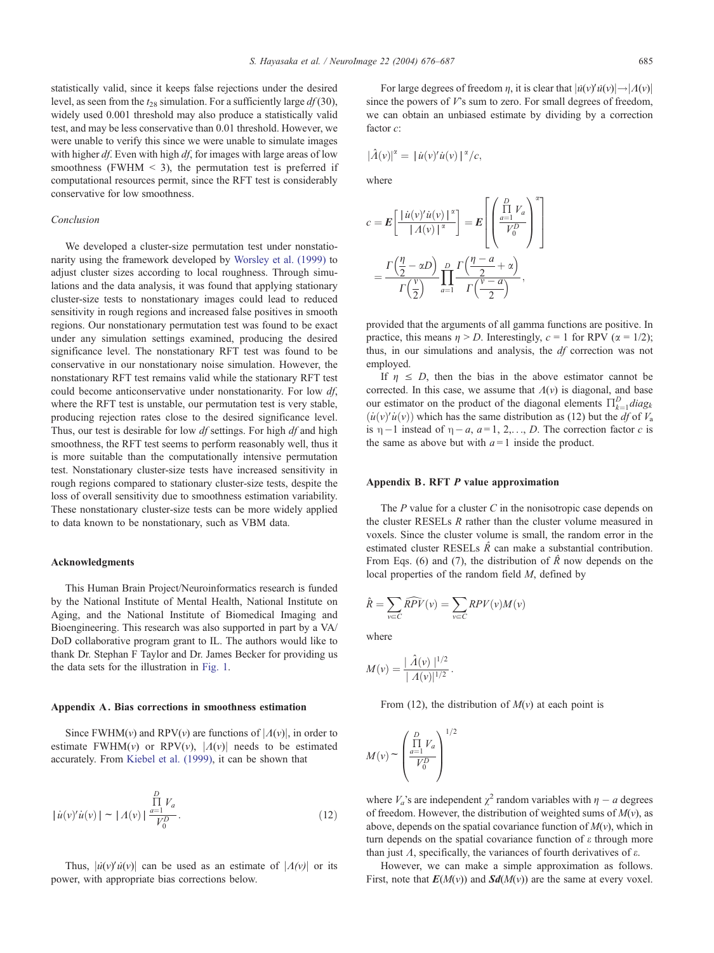statistically valid, since it keeps false rejections under the desired level, as seen from the  $t_{28}$  simulation. For a sufficiently large  $df(30)$ , widely used 0.001 threshold may also produce a statistically valid test, and may be less conservative than 0.01 threshold. However, we were unable to verify this since we were unable to simulate images with higher  $df$ . Even with high  $df$ , for images with large areas of low smoothness (FWHM  $\leq$  3), the permutation test is preferred if computational resources permit, since the RFT test is considerably conservative for low smoothness.

## Conclusion

We developed a cluster-size permutation test under nonstationarity using the framework developed by [Worsley et al. \(1999\)](#page-11-0) to adjust cluster sizes according to local roughness. Through simulations and the data analysis, it was found that applying stationary cluster-size tests to nonstationary images could lead to reduced sensitivity in rough regions and increased false positives in smooth regions. Our nonstationary permutation test was found to be exact under any simulation settings examined, producing the desired significance level. The nonstationary RFT test was found to be conservative in our nonstationary noise simulation. However, the nonstationary RFT test remains valid while the stationary RFT test could become anticonservative under nonstationarity. For low  $df$ , where the RFT test is unstable, our permutation test is very stable, producing rejection rates close to the desired significance level. Thus, our test is desirable for low  $df$  settings. For high  $df$  and high smoothness, the RFT test seems to perform reasonably well, thus it is more suitable than the computationally intensive permutation test. Nonstationary cluster-size tests have increased sensitivity in rough regions compared to stationary cluster-size tests, despite the loss of overall sensitivity due to smoothness estimation variability. These nonstationary cluster-size tests can be more widely applied to data known to be nonstationary, such as VBM data.

## Acknowledgments

This Human Brain Project/Neuroinformatics research is funded by the National Institute of Mental Health, National Institute on Aging, and the National Institute of Biomedical Imaging and Bioengineering. This research was also supported in part by a VA/ DoD collaborative program grant to IL. The authors would like to thank Dr. Stephan F Taylor and Dr. James Becker for providing us the data sets for the illustration in [Fig. 1.](#page-1-0)

#### Appendix A. Bias corrections in smoothness estimation

Since FWHM(v) and RPV(v) are functions of  $|A(v)|$ , in order to estimate FWHM(v) or RPV(v),  $|A(v)|$  needs to be estimated accurately. From [Kiebel et al. \(1999\),](#page-11-0) it can be shown that

$$
|\dot{u}(v)'\dot{u}(v)| \sim |A(v)| \frac{\prod\limits_{a=1}^{D} V_a}{V_0^D}.
$$
\n(12)

Thus,  $|\dot{u}(v)'\dot{u}(v)|$  can be used as an estimate of  $|A(v)|$  or its power, with appropriate bias corrections below.

For large degrees of freedom  $\eta$ , it is clear that  $|\dot{u}(v)'\dot{u}(v)| \rightarrow |A(v)|$ since the powers of  $V$ 's sum to zero. For small degrees of freedom, we can obtain an unbiased estimate by dividing by a correction factor  $c$ :

$$
|\hat{\Lambda}(v)|^{\alpha} = |u(v)'u(v)|^{\alpha}/c,
$$

where

$$
c = \mathbf{E} \left[ \frac{|\dot{u}(v)' \dot{u}(v)|^{\alpha}}{|\Lambda(v)|^{\alpha}} \right] = \mathbf{E} \left[ \left( \frac{\prod_{a=1}^{D} V_a}{V_0^D} \right)^{\alpha} \right]
$$

$$
= \frac{\Gamma(\frac{\eta}{2} - \alpha D)}{\Gamma(\frac{v}{2})} \prod_{a=1}^{D} \frac{\Gamma(\frac{\eta - a}{2} + \alpha)}{\Gamma(\frac{\gamma - a}{2})},
$$

provided that the arguments of all gamma functions are positive. In practice, this means  $\eta > D$ . Interestingly,  $c = 1$  for RPV ( $\alpha = 1/2$ ); thus, in our simulations and analysis, the df correction was not employed.

If  $\eta \leq D$ , then the bias in the above estimator cannot be corrected. In this case, we assume that  $\Lambda(v)$  is diagonal, and base our estimator on the product of the diagonal elements  $\prod_{k=1}^{D} diag_k$  $(i\psi)'$ u<sup> $(v)$ </sup> which has the same distribution as (12) but the *df* of  $V_a$ is  $\eta - 1$  instead of  $\eta - a$ ,  $a = 1, 2, \ldots, D$ . The correction factor c is the same as above but with  $a = 1$  inside the product.

## Appendix B. RFT P value approximation

The  $P$  value for a cluster  $C$  in the nonisotropic case depends on the cluster RESELs R rather than the cluster volume measured in voxels. Since the cluster volume is small, the random error in the estimated cluster RESELs  $\hat{R}$  can make a substantial contribution. From Eqs. (6) and (7), the distribution of  $\hat{R}$  now depends on the local properties of the random field M, defined by

$$
\hat{R} = \sum_{v \in C} \widehat{RPV}(v) = \sum_{v \in C} RPV(v)M(v)
$$

where

$$
M(v) = \frac{|\hat{\Lambda}(v)|^{1/2}}{|A(v)|^{1/2}}.
$$

From (12), the distribution of  $M(v)$  at each point is

$$
M(v) \sim \left(\frac{\prod_{a=1}^{D} V_a}{V_0^D}\right)^{1/2}
$$

where  $V_a$ 's are independent  $\chi^2$  random variables with  $\eta - a$  degrees of freedom. However, the distribution of weighted sums of  $M(v)$ , as above, depends on the spatial covariance function of  $M(v)$ , which in turn depends on the spatial covariance function of  $\varepsilon$  through more than just  $\Lambda$ , specifically, the variances of fourth derivatives of  $\varepsilon$ .

However, we can make a simple approximation as follows. First, note that  $E(M(v))$  and  $Sd(M(v))$  are the same at every voxel.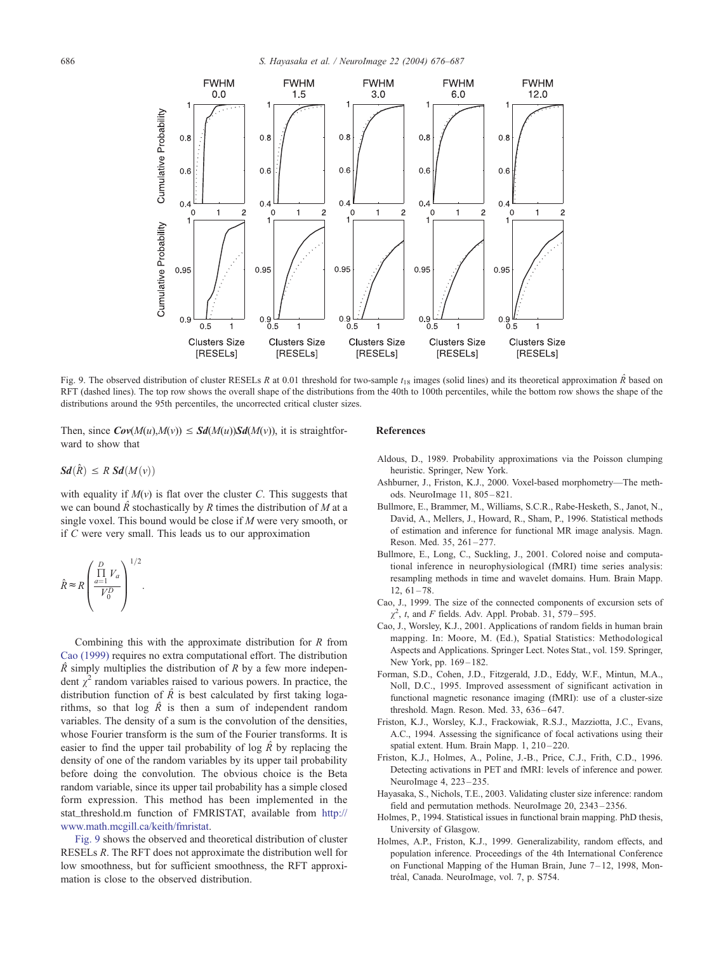<span id="page-10-0"></span>

Fig. 9. The observed distribution of cluster RESELs R at 0.01 threshold for two-sample  $t_{18}$  images (solid lines) and its theoretical approximation  $\hat{R}$  based on RFT (dashed lines). The top row shows the overall shape of the distributions from the 40th to 100th percentiles, while the bottom row shows the shape of the distributions around the 95th percentiles, the uncorrected critical cluster sizes.

Then, since  $Cov(M(u), M(v)) \leq Sd(M(u))Sd(M(v))$ , it is straightforward to show that

# $Sd(\hat{R}) \leq R S d(M(v))$

with equality if  $M(v)$  is flat over the cluster C. This suggests that we can bound  $\hat{R}$  stochastically by R times the distribution of M at a single voxel. This bound would be close if M were very smooth, or if C were very small. This leads us to our approximation

$$
\hat{R} \approx R \left( \frac{\prod_{a=1}^{D} V_a}{V_0^D} \right)^{1/2}.
$$

Combining this with the approximate distribution for  $R$  from Cao (1999) requires no extra computational effort. The distribution  $\hat{R}$  simply multiplies the distribution of R by a few more independent  $\gamma^2$  random variables raised to various powers. In practice, the distribution function of  $\hat{R}$  is best calculated by first taking logarithms, so that  $log \hat{R}$  is then a sum of independent random variables. The density of a sum is the convolution of the densities, whose Fourier transform is the sum of the Fourier transforms. It is easier to find the upper tail probability of log  $\hat{R}$  by replacing the density of one of the random variables by its upper tail probability before doing the convolution. The obvious choice is the Beta random variable, since its upper tail probability has a simple closed form expression. This method has been implemented in the stat threshold.m function of FMRISTAT, available from [http://]( http:\\www.math.mcgill.ca\keith\fmristat ) www.math.mcgill.ca/keith/fmristat.

Fig. 9 shows the observed and theoretical distribution of cluster RESELs R. The RFT does not approximate the distribution well for low smoothness, but for sufficient smoothness, the RFT approximation is close to the observed distribution.

## References

- Aldous, D., 1989. Probability approximations via the Poisson clumping heuristic. Springer, New York.
- Ashburner, J., Friston, K.J., 2000. Voxel-based morphometry—The methods. NeuroImage 11, 805 – 821.
- Bullmore, E., Brammer, M., Williams, S.C.R., Rabe-Hesketh, S., Janot, N., David, A., Mellers, J., Howard, R., Sham, P., 1996. Statistical methods of estimation and inference for functional MR image analysis. Magn. Reson. Med. 35, 261-277.
- Bullmore, E., Long, C., Suckling, J., 2001. Colored noise and computational inference in neurophysiological (fMRI) time series analysis: resampling methods in time and wavelet domains. Hum. Brain Mapp.  $12, 61 - 78.$
- Cao, J., 1999. The size of the connected components of excursion sets of  $\chi^2$ , t, and F fields. Adv. Appl. Probab. 31, 579–595.
- Cao, J., Worsley, K.J., 2001. Applications of random fields in human brain mapping. In: Moore, M. (Ed.), Spatial Statistics: Methodological Aspects and Applications. Springer Lect. Notes Stat., vol. 159. Springer, New York, pp. 169-182.
- Forman, S.D., Cohen, J.D., Fitzgerald, J.D., Eddy, W.F., Mintun, M.A., Noll, D.C., 1995. Improved assessment of significant activation in functional magnetic resonance imaging (fMRI): use of a cluster-size threshold. Magn. Reson. Med. 33, 636 – 647.
- Friston, K.J., Worsley, K.J., Frackowiak, R.S.J., Mazziotta, J.C., Evans, A.C., 1994. Assessing the significance of focal activations using their spatial extent. Hum. Brain Mapp. 1, 210-220.
- Friston, K.J., Holmes, A., Poline, J.-B., Price, C.J., Frith, C.D., 1996. Detecting activations in PET and fMRI: levels of inference and power. NeuroImage 4, 223 – 235.
- Hayasaka, S., Nichols, T.E., 2003. Validating cluster size inference: random field and permutation methods. NeuroImage 20, 2343 – 2356.
- Holmes, P., 1994. Statistical issues in functional brain mapping. PhD thesis, University of Glasgow.
- Holmes, A.P., Friston, K.J., 1999. Generalizability, random effects, and population inference. Proceedings of the 4th International Conference on Functional Mapping of the Human Brain, June  $7-12$ , 1998, Montréal, Canada. NeuroImage, vol. 7, p. S754.